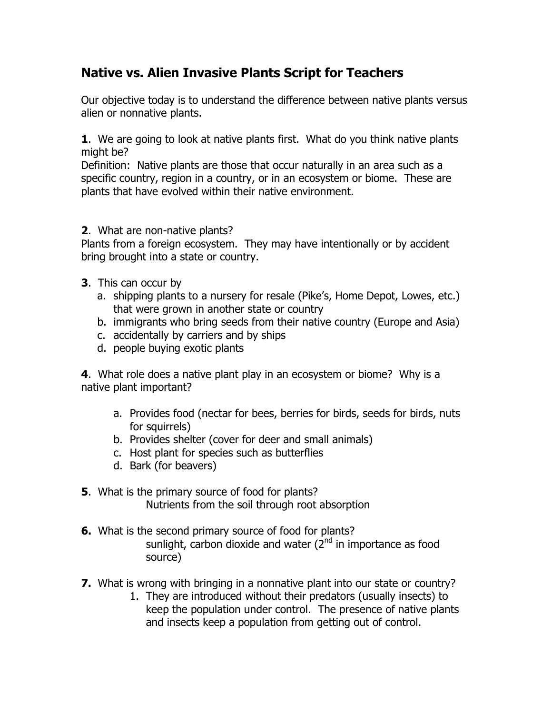## **Native vs. Alien Invasive Plants Script for Teachers**

Our objective today is to understand the difference between native plants versus alien or nonnative plants.

**1**. We are going to look at native plants first. What do you think native plants might be?

Definition: Native plants are those that occur naturally in an area such as a specific country, region in a country, or in an ecosystem or biome. These are plants that have evolved within their native environment.

## **2**. What are non-native plants?

Plants from a foreign ecosystem. They may have intentionally or by accident bring brought into a state or country.

- **3**. This can occur by
	- a. shipping plants to a nursery for resale (Pike's, Home Depot, Lowes, etc.) that were grown in another state or country
	- b. immigrants who bring seeds from their native country (Europe and Asia)
	- c. accidentally by carriers and by ships
	- d. people buying exotic plants

**4**. What role does a native plant play in an ecosystem or biome? Why is a native plant important?

- a. Provides food (nectar for bees, berries for birds, seeds for birds, nuts for squirrels)
- b. Provides shelter (cover for deer and small animals)
- c. Host plant for species such as butterflies
- d. Bark (for beavers)
- **5**. What is the primary source of food for plants? Nutrients from the soil through root absorption
- **6.** What is the second primary source of food for plants? sunlight, carbon dioxide and water  $(2^{nd}$  in importance as food source)
- **7.** What is wrong with bringing in a nonnative plant into our state or country?
	- 1. They are introduced without their predators (usually insects) to keep the population under control. The presence of native plants and insects keep a population from getting out of control.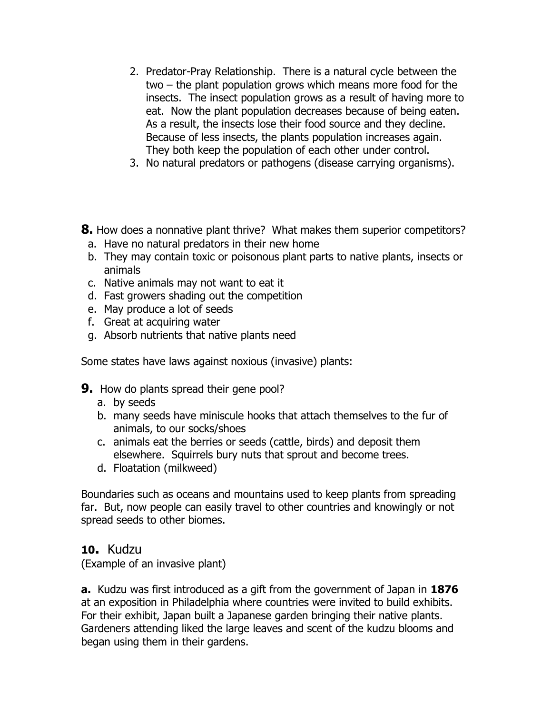- 2. Predator-Pray Relationship. There is a natural cycle between the two – the plant population grows which means more food for the insects. The insect population grows as a result of having more to eat. Now the plant population decreases because of being eaten. As a result, the insects lose their food source and they decline. Because of less insects, the plants population increases again. They both keep the population of each other under control.
- 3. No natural predators or pathogens (disease carrying organisms).
- **8.** How does a nonnative plant thrive? What makes them superior competitors?
	- a. Have no natural predators in their new home
	- b. They may contain toxic or poisonous plant parts to native plants, insects or animals
- c. Native animals may not want to eat it
- d. Fast growers shading out the competition
- e. May produce a lot of seeds
- f. Great at acquiring water
- g. Absorb nutrients that native plants need

Some states have laws against noxious (invasive) plants:

- **9.** How do plants spread their gene pool?
	- a. by seeds
	- b. many seeds have miniscule hooks that attach themselves to the fur of animals, to our socks/shoes
	- c. animals eat the berries or seeds (cattle, birds) and deposit them elsewhere. Squirrels bury nuts that sprout and become trees.
	- d. Floatation (milkweed)

Boundaries such as oceans and mountains used to keep plants from spreading far. But, now people can easily travel to other countries and knowingly or not spread seeds to other biomes.

## **10.** Kudzu

(Example of an invasive plant)

**a.** Kudzu was first introduced as a gift from the government of Japan in **1876** at an exposition in Philadelphia where countries were invited to build exhibits. For their exhibit, Japan built a Japanese garden bringing their native plants. Gardeners attending liked the large leaves and scent of the kudzu blooms and began using them in their gardens.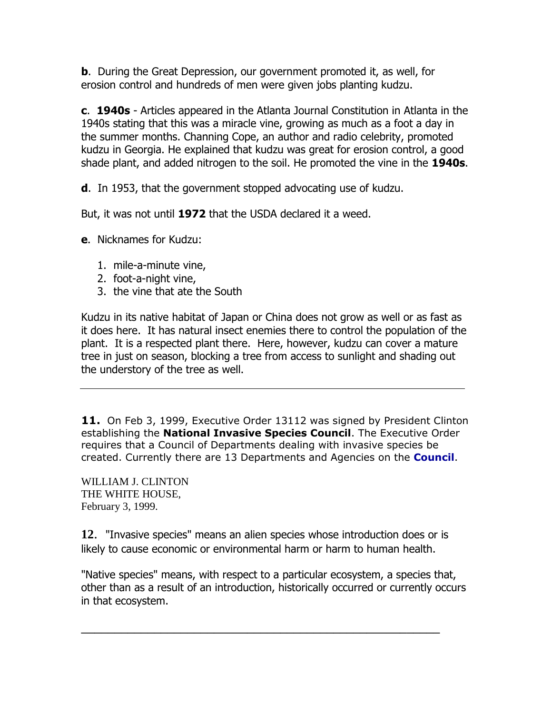**b**. During the Great Depression, our government promoted it, as well, for erosion control and hundreds of men were given jobs planting kudzu.

**c**. **1940s** - Articles appeared in the Atlanta Journal Constitution in Atlanta in the 1940s stating that this was a miracle vine, growing as much as a foot a day in the summer months. Channing Cope, an author and radio celebrity, promoted kudzu in Georgia. He explained that kudzu was great for erosion control, a good shade plant, and added nitrogen to the soil. He promoted the vine in the **1940s**.

**d**. In 1953, that the government stopped advocating use of kudzu.

But, it was not until **1972** that the USDA declared it a weed.

**e**. Nicknames for Kudzu:

- 1. mile-a-minute vine,
- 2. foot-a-night vine,
- 3. the vine that ate the South

Kudzu in its native habitat of Japan or China does not grow as well or as fast as it does here. It has natural insect enemies there to control the population of the plant. It is a respected plant there. Here, however, kudzu can cover a mature tree in just on season, blocking a tree from access to sunlight and shading out the understory of the tree as well.

**11.** On Feb 3, 1999, Executive Order 13112 was signed by President Clinton establishing the **National Invasive Species Council**. The Executive Order requires that a Council of Departments dealing with invasive species be created. Currently there are 13 Departments and Agencies on the **[Council](http://www.invasivespeciesinfo.gov/council/agencies.shtml)**.

WILLIAM J. CLINTON THE WHITE HOUSE, February 3, 1999.

**12**. "Invasive species" means an alien species whose introduction does or is likely to cause economic or environmental harm or harm to human health.

"Native species" means, with respect to a particular ecosystem, a species that, other than as a result of an introduction, historically occurred or currently occurs in that ecosystem.

\_\_\_\_\_\_\_\_\_\_\_\_\_\_\_\_\_\_\_\_\_\_\_\_\_\_\_\_\_\_\_\_\_\_\_\_\_\_\_\_\_\_\_\_\_\_\_\_\_\_\_\_\_\_